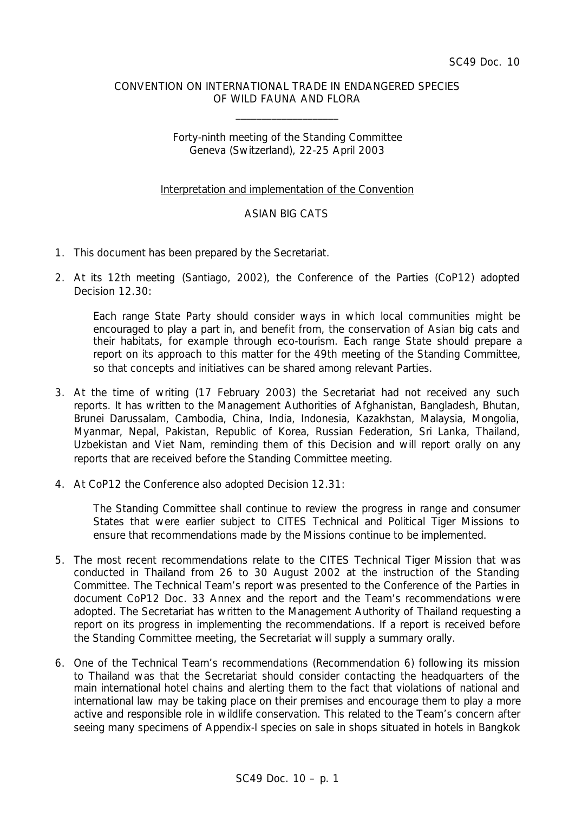### CONVENTION ON INTERNATIONAL TRADE IN ENDANGERED SPECIES OF WILD FAUNA AND FLORA

\_\_\_\_\_\_\_\_\_\_\_\_\_\_\_\_\_\_\_\_

## Forty-ninth meeting of the Standing Committee Geneva (Switzerland), 22-25 April 2003

## Interpretation and implementation of the Convention

# ASIAN BIG CATS

- 1. This document has been prepared by the Secretariat.
- 2. At its 12th meeting (Santiago, 2002), the Conference of the Parties (CoP12) adopted Decision 12.30:

*Each range State Party should consider ways in which local communities might be encouraged to play a part in, and benefit from, the conservation of Asian big cats and their habitats, for example through eco-tourism. Each range State should prepare a report on its approach to this matter for the 49th meeting of the Standing Committee, so that concepts and initiatives can be shared among relevant Parties.*

- 3. At the time of writing (17 February 2003) the Secretariat had not received any such reports. It has written to the Management Authorities of Afghanistan, Bangladesh, Bhutan, Brunei Darussalam, Cambodia, China, India, Indonesia, Kazakhstan, Malaysia, Mongolia, Myanmar, Nepal, Pakistan, Republic of Korea, Russian Federation, Sri Lanka, Thailand, Uzbekistan and Viet Nam, reminding them of this Decision and will report orally on any reports that are received before the Standing Committee meeting.
- 4. At CoP12 the Conference also adopted Decision 12.31:

*The Standing Committee shall continue to review the progress in range and consumer States that were earlier subject to CITES Technical and Political Tiger Missions to ensure that recommendations made by the Missions continue to be implemented.*

- 5. The most recent recommendations relate to the CITES Technical Tiger Mission that was conducted in Thailand from 26 to 30 August 2002 at the instruction of the Standing Committee. The Technical Team's report was presented to the Conference of the Parties in document CoP12 Doc. 33 Annex and the report and the Team's recommendations were adopted. The Secretariat has written to the Management Authority of Thailand requesting a report on its progress in implementing the recommendations. If a report is received before the Standing Committee meeting, the Secretariat will supply a summary orally.
- 6. One of the Technical Team's recommendations (Recommendation 6) following its mission to Thailand was that the Secretariat should consider contacting the headquarters of the main international hotel chains and alerting them to the fact that violations of national and international law may be taking place on their premises and encourage them to play a more active and responsible role in wildlife conservation. This related to the Team's concern after seeing many specimens of Appendix-I species on sale in shops situated in hotels in Bangkok